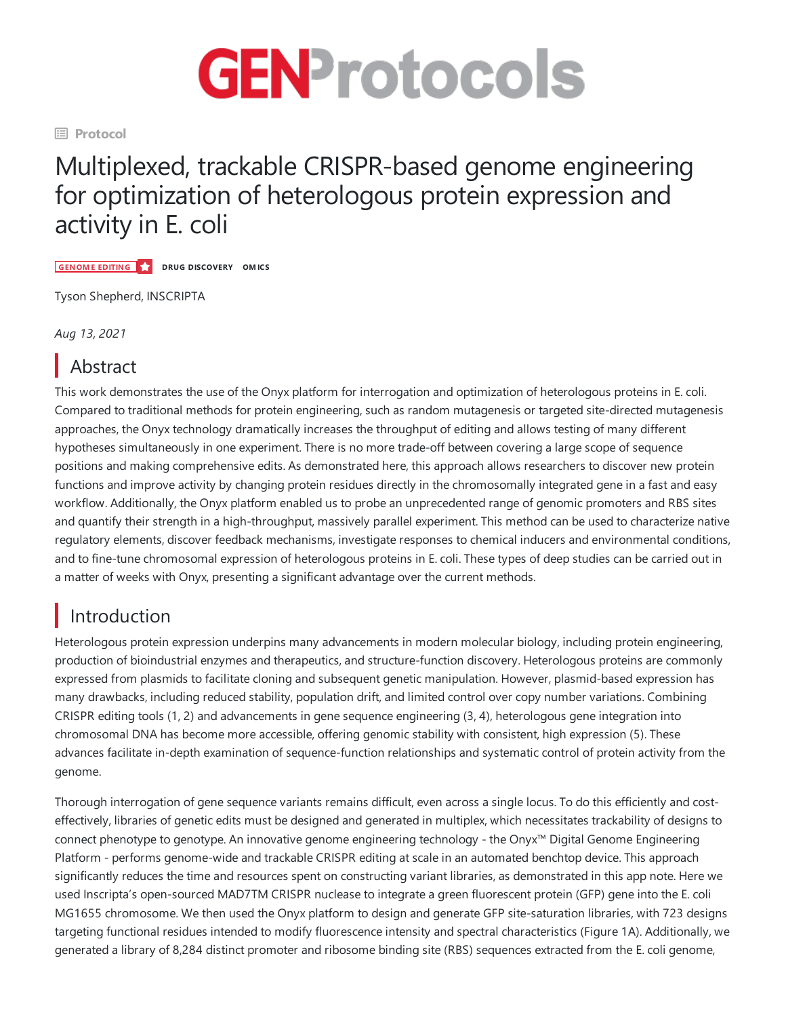

**El Protocol** 

# Multiplexed, trackable CRISPR-based genome engineering for optimization of heterologous protein expression and activity in E. coli

**GENOME EDITING DRUG DISCOVERY OMICS**

Tyson Shepherd, INSCRIPTA

*Aug 13, 2021*

## Abstract

This work demonstrates the use of the Onyx platform for interrogation and optimization of heterologous proteins in E.coli. Compared to traditional methods for protein engineering, such as random mutagenesis or targeted site-directed mutagenesis approaches, the Onyx technology dramatically increases the throughput of editing and allows testing of many different hypotheses simultaneously in one experiment. There is no more trade-off between covering a large scope of sequence positions and making comprehensive edits. As demonstrated here, this approach allows researchers to discover new protein functions and improve activity by changing protein residues directly in the chromosomally integrated gene in a fast and easy workflow. Additionally, the Onyx platform enabled us to probe an unprecedented range of genomic promoters and RBS sites and quantify their strength in a high-throughput, massively parallel experiment.This method can be used to characterize native regulatory elements, discover feedback mechanisms, investigate responses to chemical inducers and environmental conditions, and to fine-tune chromosomal expression of heterologous proteins in E. coli. These types of deep studies can be carried out in a matter of weeks with Onyx, presenting a significant advantage over the current methods.

### Introduction

Heterologous protein expression underpins many advancements in modern molecular biology, including protein engineering, production of bioindustrial enzymes and therapeutics, and structure-function discovery. Heterologous proteins are commonly expressed from plasmids to facilitate cloning and subsequent genetic manipulation. However, plasmid-based expression has many drawbacks, including reduced stability, population drift, and limited control over copy number variations. Combining CRISPR editing tools (1, 2) and advancements in gene sequence engineering (3, 4), heterologous gene integration into chromosomal DNA has become more accessible, offering genomic stability with consistent, high expression (5). These advances facilitate in-depth examination of sequence-function relationships and systematic control of protein activity from the genome.

Thorough interrogation of gene sequence variants remains difficult, even across a single locus. To do this efficiently and costeffectively, libraries of geneticedits must be designed and generated in multiplex, which necessitates trackability of designs to connect phenotype to genotype. An innovative genome engineering technology - the Onyx™ Digital Genome Engineering Platform - performs genome-wide and trackable CRISPR editing at scale in an automated benchtop device. This approach significantly reduces the time and resources spent on constructing variant libraries, as demonstrated in this app note. Here we used Inscripta's open-sourced MAD7TM CRISPR nuclease to integrate a green fluorescent protein (GFP) gene into the E. coli MG1655 chromosome.Wethen used the Onyx platform to design and generate GFP site-saturation libraries, with 723 designs targeting functional residues intended to modify fluorescence intensity and spectral characteristics (Figure 1A). Additionally, we generated a library of 8,284 distinct promoter and ribosome binding site (RBS) sequences extracted from the E. coli genome,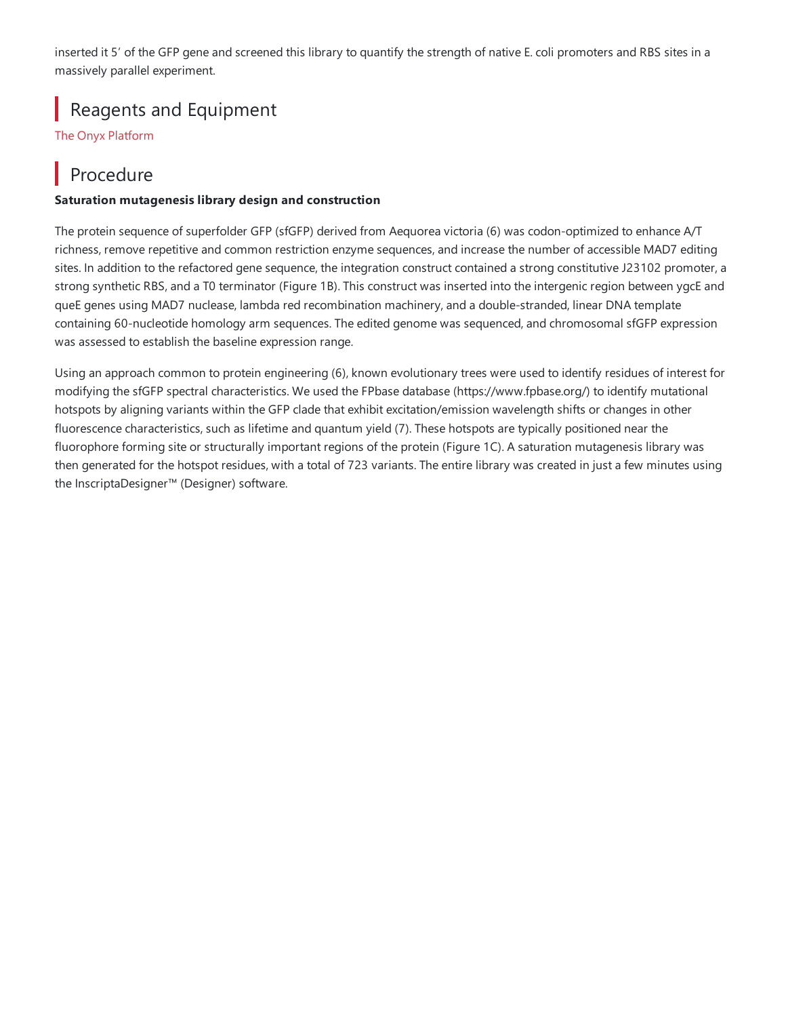inserted it 5' of the GFP gene and screened this library to quantify the strength of native E. coli promoters and RBS sites in a massively parallel experiment.

#### Reagents and Equipment

The Onyx [Platform](https://www.inscripta.com/products?&utm_source=GEN&utm_medium=Website&utm_campaign=GEN-protocol)

#### Procedure

#### **Saturation mutagenesis library design and construction**

The protein sequence of superfolder GFP (sfGFP) derived from Aequorea victoria (6) was codon-optimized to enhance A/T richness, remove repetitive and common restriction enzyme sequences, and increase the number of accessible MAD7 editing sites. In addition to the refactored gene sequence, the integration construct contained a strong constitutive J23102 promoter, a strong synthetic RBS, and a T0 terminator (Figure 1B). This construct was inserted into the intergenic region between ygcE and queE genes using MAD7 nuclease, lambda red recombination machinery,and a double-stranded, linear DNA template containing 60-nucleotide homology arm sequences. The edited genome was sequenced, and chromosomal sfGFP expression was assessed to establish the baseline expression range.

Using an approach common to protein engineering (6), known evolutionary trees were used to identify residues of interest for modifying the sfGFP spectral characteristics. We used the FPbase database (https://www.fpbase.org/) to identify mutational hotspots by aligning variants within the GFP clade that exhibit excitation/emission wavelength shifts or changes in other fluorescence characteristics, such as lifetime and quantum yield (7). These hotspots are typically positioned near the fluorophore forming site or structurally important regions of the protein (Figure 1C). A saturation mutagenesis library was then generated for the hotspot residues, with a total of 723 variants. The entire library was created in just a few minutes using the InscriptaDesigner™ (Designer) software.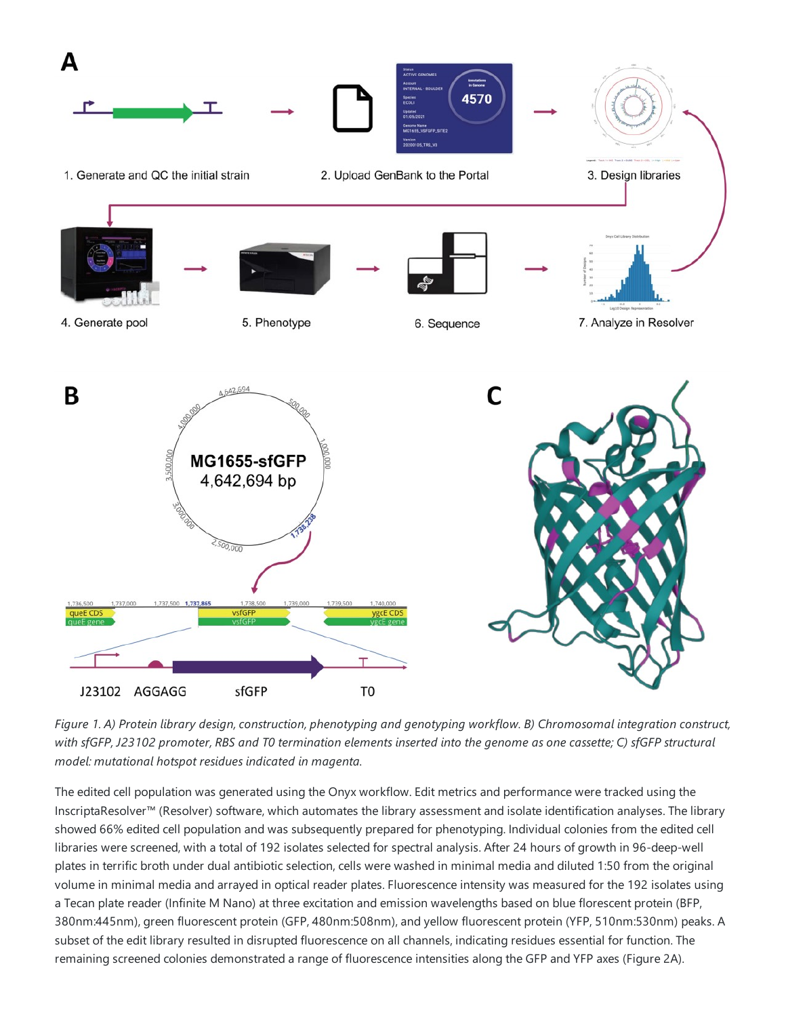

Figure 1. A) Protein library design, construction, phenotyping and genotyping workflow. B) Chromosomal integration construct, with sfGFP, J23102 promoter, RBS and T0 termination elements inserted into the genome as one cassette; C) sfGFP structural *model: mutational hotspot residues indicated in magenta.*

The edited cell population was generated using the Onyx workflow. Edit metrics and performance were tracked using the InscriptaResolver™ (Resolver) software, which automates the library assessment and isolate identification analyses. The library showed 66% edited cell population and was subsequently prepared for phenotyping. Individual colonies from the edited cell libraries were screened, with a total of 192 isolates selected for spectral analysis. After 24 hours of growth in 96-deep-well plates in terrific broth under dual antibiotic selection, cells were washed in minimal media and diluted 1:50 from the original volume in minimal media and arrayed in optical reader plates. Fluorescence intensity was measured for the 192 isolates using a Tecan plate reader (Infinite M Nano) at three excitation and emission wavelengths based on blue florescent protein (BFP, 380nm:445nm), green fluorescent protein (GFP, 480nm:508nm), and yellow fluorescent protein (YFP, 510nm:530nm) peaks. A subset of the edit library resulted in disrupted fluorescence on all channels, indicating residues essential for function. The remaining screened colonies demonstrated a range of fluorescence intensities along the GFP and YFP axes (Figure 2A).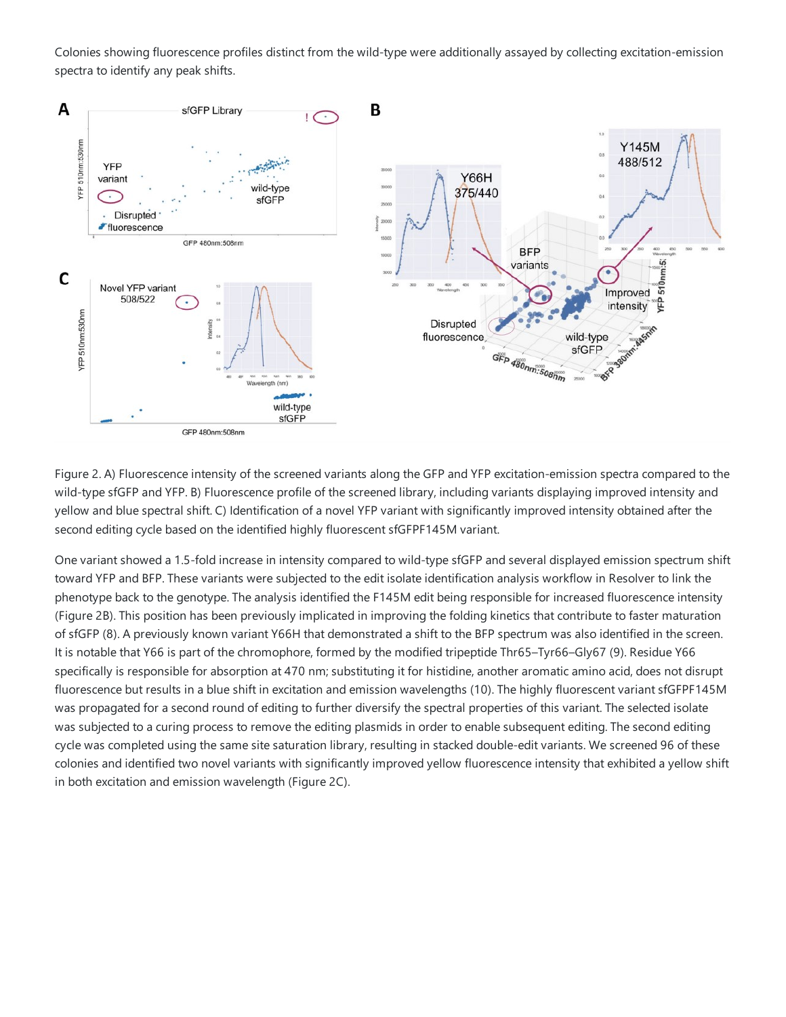Colonies showing fluorescence profiles distinct from the wild-type were additionally assayed by collecting excitation-emission spectra to identify any peak shifts.



Figure 2. A) Fluorescence intensity of the screened variants along the GFP and YFP excitation-emission spectra compared to the wild-type sfGFP and YFP. B) Fluorescence profile of the screened library, including variants displaying improved intensity and yellow and blue spectral shift. C) Identification of a novel YFP variant with significantly improved intensity obtained after the second editing cycle based on the identified highly fluorescent sfGFPF145M variant.

One variant showed a 1.5-fold increase in intensity compared to wild-type sfGFP and several displayed emission spectrum shift toward YFP and BFP. These variants were subjected to the edit isolate identification analysis workflow in Resolver to link the phenotype back to the genotype. The analysis identified the F145M edit being responsible for increased fluorescence intensity (Figure 2B). This position has been previously implicated in improving the folding kinetics that contribute to faster maturation of sfGFP (8). A previously known variant Y66H that demonstrated a shift to the BFP spectrum was also identified in thescreen. It is notable that Y66 is part of the chromophore, formed by the modified tripeptide Thr65–Tyr66–Gly67 (9). Residue Y66 specifically is responsible for absorption at 470 nm; substituting it for histidine, another aromatic amino acid, does not disrupt fluorescence but results in a blue shift in excitation and emission wavelengths (10). The highly fluorescent variant sfGFPF145M was propagated for a second round of editing to further diversify the spectral properties of this variant. The selected isolate was subjected to a curing process to remove the editing plasmids in order to enable subsequent editing. The second editing cycle was completed using the same site saturation library, resulting in stacked double-edit variants. We screened 96 of these colonies and identified two novel variants with significantly improved yellow fluorescenceintensity thatexhibited a yellow shift in both excitation and emission wavelength (Figure 2C).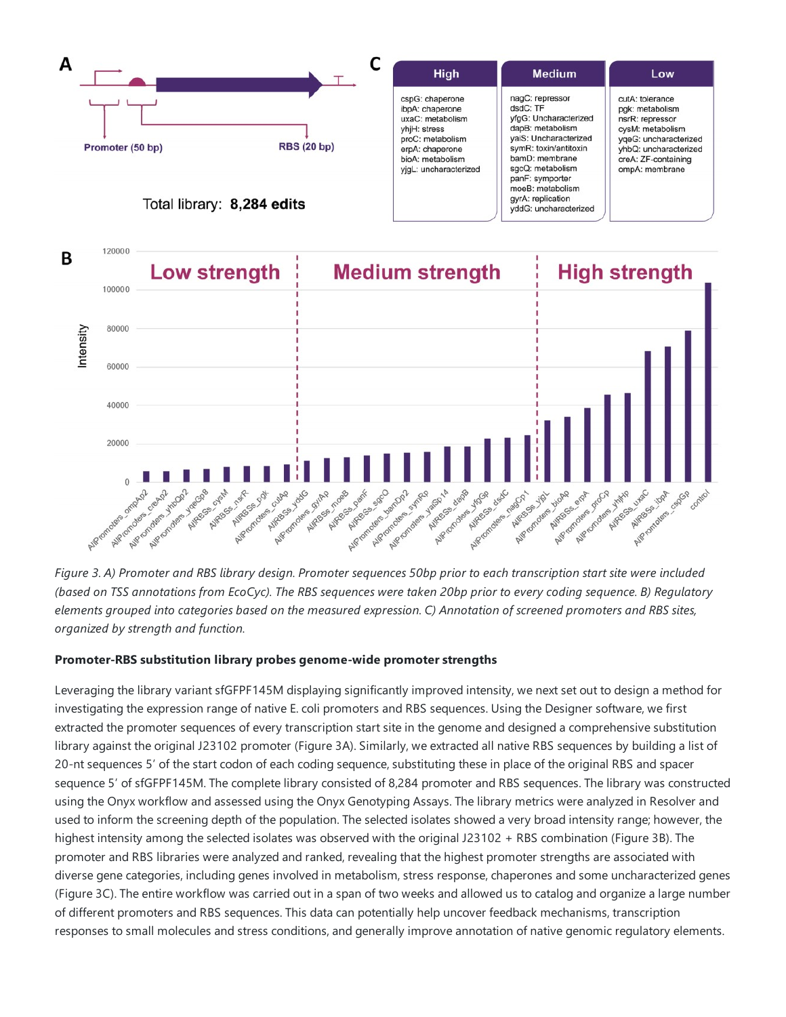



Figure 3. A) Promoter and RBS library design. Promoter sequences 50bp prior to each transcription start site were included (based on TSS annotations from EcoCyc). The RBS sequences were taken 20bp prior to every coding sequence. B) Requlatory elements grouped into categories based on the measured expression. C) Annotation of screened promoters and RBS sites, *organized by strength and function.*

#### **Promoter-RBS substitution library probes genome-wide promoter strengths**

Leveraging thelibrary variant sfGFPF145M displaying significantly improved intensity, we next set out to design a method for investigating the expression range of native E. coli promoters and RBS sequences. Using the Designer software, we first extracted the promoter sequences of every transcription start site in the genome and designed a comprehensive substitution library against the original J23102 promoter (Figure 3A). Similarly, we extracted all native RBS sequences by building a list of 20-nt sequences 5' of the start codon of each coding sequence, substituting these in place of the original RBS and spacer sequence 5' of sfGFPF145M. The complete library consisted of 8,284 promoter and RBS sequences. The library was constructed using the Onyx workflow and assessed using the Onyx Genotyping Assays. The library metrics were analyzed in Resolver and used to inform the screening depth of the population. The selected isolates showed a very broad intensity range; however, the highest intensity among the selected isolates was observed with the original J23102 + RBS combination (Figure 3B). The promoter and RBS libraries were analyzed and ranked, revealing that the highest promoter strengths are associated with diverse gene categories, including genes involved in metabolism, stress response, chaperones and some uncharacterized genes (Figure 3C). The entire workflow was carried out in a span of two weeks and allowed us to catalog and organize a large number of different promoters and RBS sequences.This data can potentially help uncover feedback mechanisms, transcription responses to small molecules and stress conditions, and generally improve annotation of native genomic regulatory elements.